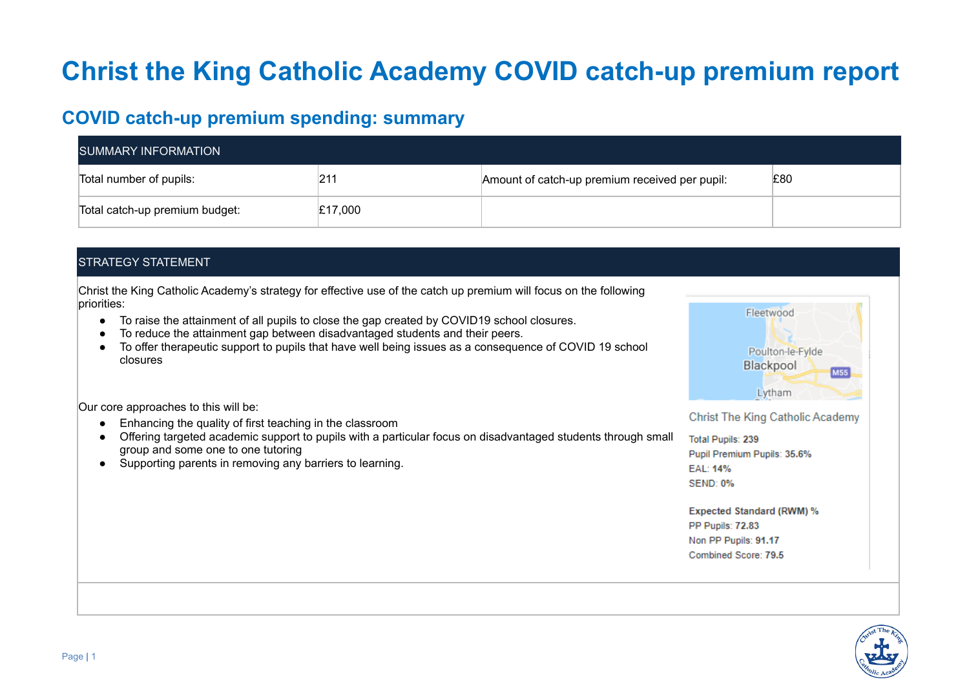# **Christ the King Catholic Academy COVID catch-up premium report**

# **COVID catch-up premium spending: summary**

| <b>SUMMARY INFORMATION</b>     |         |                                                |     |  |  |
|--------------------------------|---------|------------------------------------------------|-----|--|--|
| Total number of pupils:        | 21′     | Amount of catch-up premium received per pupil: | £80 |  |  |
| Total catch-up premium budget: | £17,000 |                                                |     |  |  |

# STRATEGY STATEMENT

Christ the King Catholic Academy's strategy for effective use of the catch up premium will focus on the following priorities:

- To raise the attainment of all pupils to close the gap created by COVID19 school closures.
- To reduce the attainment gap between disadvantaged students and their peers.
- To offer therapeutic support to pupils that have well being issues as a consequence of COVID 19 school closures

Our core approaches to this will be:

- Enhancing the quality of first teaching in the classroom
- Offering targeted academic support to pupils with a particular focus on disadvantaged students through small group and some one to one tutoring
- Supporting parents in removing any barriers to learning.



Christ The King Catholic Academy

Total Pupils: 239 Pupil Premium Pupils: 35.6% EAL: 14% **SEND: 0%** 

**Expected Standard (RWM) %** PP Pupils: 72.83 Non PP Pupils: 91.17 Combined Score: 79.5

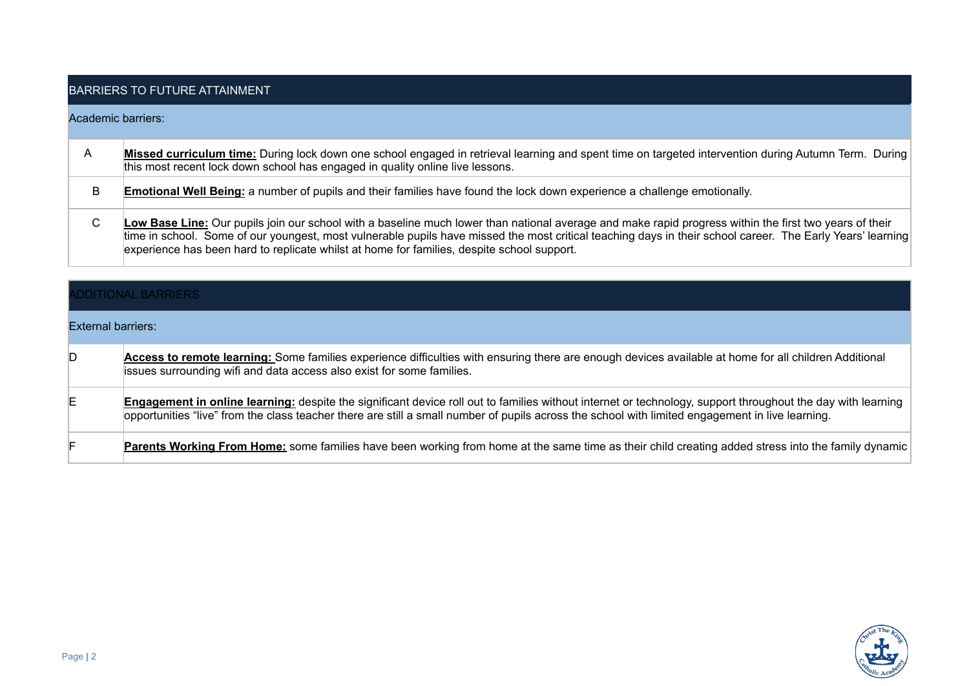# BARRIERS TO FUTURE ATTAINMENT

### Academic barriers:

| A | Missed curriculum time: During lock down one school engaged in retrieval learning and spent time on targeted intervention during Autumn Term. During<br>this most recent lock down school has engaged in quality online live lessons.                                                                                                                                                                              |
|---|--------------------------------------------------------------------------------------------------------------------------------------------------------------------------------------------------------------------------------------------------------------------------------------------------------------------------------------------------------------------------------------------------------------------|
| B | <b>Emotional Well Being:</b> a number of pupils and their families have found the lock down experience a challenge emotionally.                                                                                                                                                                                                                                                                                    |
| С | Low Base Line: Our pupils join our school with a baseline much lower than national average and make rapid progress within the first two years of their<br>time in school. Some of our youngest, most vulnerable pupils have missed the most critical teaching days in their school career. The Early Years' learning<br>experience has been hard to replicate whilst at home for families, despite school support. |

| <b>ADDITIONAL BARRIERS</b> |                                                                                                                                                                                                                                                                                                                        |  |  |
|----------------------------|------------------------------------------------------------------------------------------------------------------------------------------------------------------------------------------------------------------------------------------------------------------------------------------------------------------------|--|--|
| External barriers:         |                                                                                                                                                                                                                                                                                                                        |  |  |
| D.                         | Access to remote learning: Some families experience difficulties with ensuring there are enough devices available at home for all children Additional<br>issues surrounding wifi and data access also exist for some families.                                                                                         |  |  |
|                            | <b>Engagement in online learning:</b> despite the significant device roll out to families without internet or technology, support throughout the day with learning<br>opportunities "live" from the class teacher there are still a small number of pupils across the school with limited engagement in live learning. |  |  |
|                            | Parents Working From Home: some families have been working from home at the same time as their child creating added stress into the family dynamic                                                                                                                                                                     |  |  |

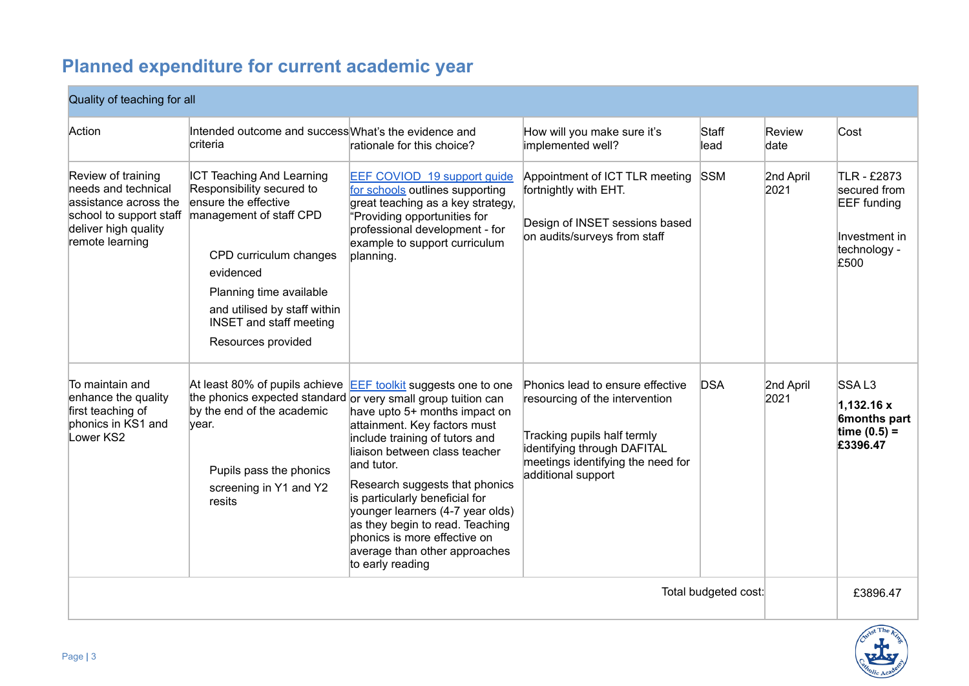# **Planned expenditure for current academic year**

# Quality of teaching for all

| Action                                                                                                                                   | Intended outcome and success What's the evidence and<br>criteria                                                                                                                                                                                                           | rationale for this choice?                                                                                                                                                                                                                                                                                                                                                                                                                              | How will you make sure it's<br>implemented well?                                                                                                                                            | Staff<br>lead        | Review<br>date    | Cost                                                                                       |
|------------------------------------------------------------------------------------------------------------------------------------------|----------------------------------------------------------------------------------------------------------------------------------------------------------------------------------------------------------------------------------------------------------------------------|---------------------------------------------------------------------------------------------------------------------------------------------------------------------------------------------------------------------------------------------------------------------------------------------------------------------------------------------------------------------------------------------------------------------------------------------------------|---------------------------------------------------------------------------------------------------------------------------------------------------------------------------------------------|----------------------|-------------------|--------------------------------------------------------------------------------------------|
| Review of training<br>needs and technical<br>assistance across the<br>school to support staff<br>deliver high quality<br>remote learning | <b>ICT Teaching And Learning</b><br>Responsibility secured to<br>ensure the effective<br>management of staff CPD<br>CPD curriculum changes<br>evidenced<br>Planning time available<br>and utilised by staff within<br><b>INSET and staff meeting</b><br>Resources provided | EEF COVIOD 19 support guide<br>for schools outlines supporting<br>great teaching as a key strategy,<br>'Providing opportunities for<br>professional development - for<br>example to support curriculum<br>planning.                                                                                                                                                                                                                                     | Appointment of ICT TLR meeting<br>fortnightly with EHT.<br>Design of INSET sessions based<br>on audits/surveys from staff                                                                   | <b>SSM</b>           | 2nd April<br>2021 | TLR - £2873<br>secured from<br><b>EEF</b> funding<br>Investment in<br>technology -<br>£500 |
| To maintain and<br>enhance the quality<br>first teaching of<br>phonics in KS1 and<br>Lower KS2                                           | the phonics expected standard or very small group tuition can<br>by the end of the academic<br>year.<br>Pupils pass the phonics<br>screening in Y1 and Y2<br>resits                                                                                                        | At least 80% of pupils achieve <b>EEF</b> toolkit suggests one to one<br>have upto 5+ months impact on<br>attainment. Key factors must<br>include training of tutors and<br>liaison between class teacher<br>and tutor.<br>Research suggests that phonics<br>is particularly beneficial for<br>younger learners (4-7 year olds)<br>as they begin to read. Teaching<br>phonics is more effective on<br>average than other approaches<br>to early reading | Phonics lead to ensure effective<br>resourcing of the intervention<br>Tracking pupils half termly<br>identifying through DAFITAL<br>meetings identifying the need for<br>additional support | <b>DSA</b>           | 2nd April<br>2021 | SSAL3<br>1,132.16 x<br>6months part<br>time $(0.5) =$<br>£3396.47                          |
|                                                                                                                                          |                                                                                                                                                                                                                                                                            |                                                                                                                                                                                                                                                                                                                                                                                                                                                         |                                                                                                                                                                                             | Total budgeted cost: |                   | £3896.47                                                                                   |

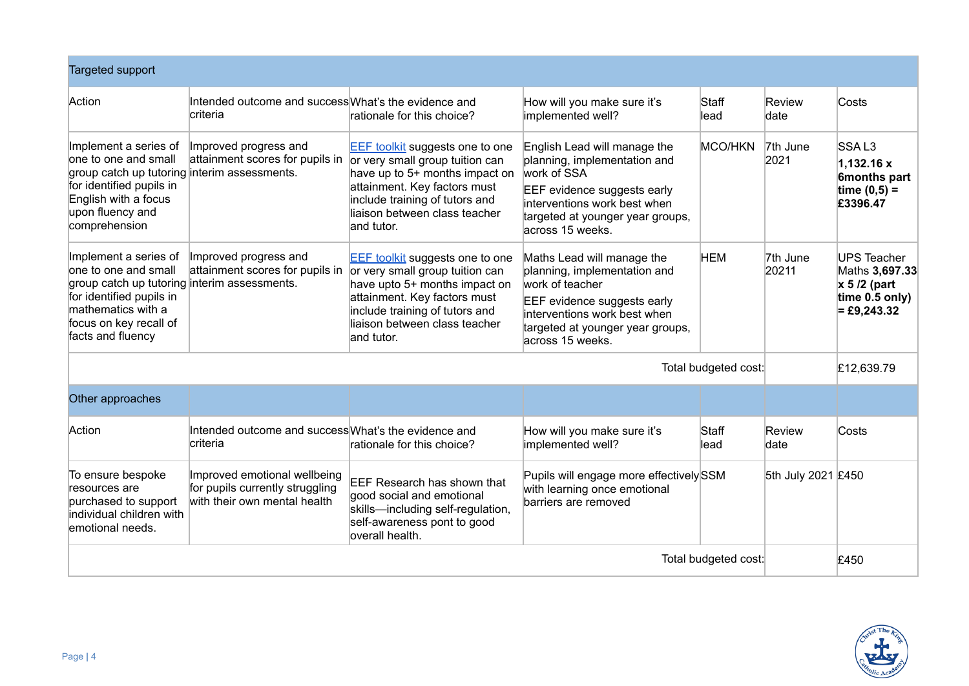| <b>Targeted support</b>                                                                                                                                                                        |                                                                                                 |                                                                                                                                                                                            |                                                                                                                                                                                                      |                      |                    |                                                                                          |
|------------------------------------------------------------------------------------------------------------------------------------------------------------------------------------------------|-------------------------------------------------------------------------------------------------|--------------------------------------------------------------------------------------------------------------------------------------------------------------------------------------------|------------------------------------------------------------------------------------------------------------------------------------------------------------------------------------------------------|----------------------|--------------------|------------------------------------------------------------------------------------------|
| Action                                                                                                                                                                                         | Intended outcome and success What's the evidence and<br>criteria                                | rationale for this choice?                                                                                                                                                                 | How will you make sure it's<br>implemented well?                                                                                                                                                     | Staff<br>lead        | Review<br>date     | Costs                                                                                    |
| Implement a series of<br>one to one and small<br>group catch up tutoring interim assessments.<br>for identified pupils in<br>English with a focus<br>upon fluency and<br>comprehension         | Improved progress and<br>attainment scores for pupils in $ $ or very small group tuition can    | <b>EEF</b> toolkit suggests one to one<br>have up to 5+ months impact on<br>attainment. Key factors must<br>include training of tutors and<br>liaison between class teacher<br>land tutor. | English Lead will manage the<br>planning, implementation and<br>work of SSA<br>EEF evidence suggests early<br>interventions work best when<br>targeted at younger year groups,<br>across 15 weeks.   | MCO/HKN              | 7th June<br>2021   | SSAL <sub>3</sub><br>1,132.16x<br>6months part<br>time $(0,5) =$<br>£3396.47             |
| Implement a series of<br>one to one and small<br>group catch up tutoring interim assessments.<br>for identified pupils in<br>mathematics with a<br>focus on key recall of<br>facts and fluency | Improved progress and<br>attainment scores for pupils in $ $ or very small group tuition can    | <b>EEF</b> toolkit suggests one to one<br>have upto 5+ months impact on<br>attainment. Key factors must<br>include training of tutors and<br>liaison between class teacher<br>land tutor.  | Maths Lead will manage the<br>planning, implementation and<br>work of teacher<br>EEF evidence suggests early<br>interventions work best when<br>targeted at younger year groups,<br>across 15 weeks. | <b>HEM</b>           | 7th June<br>20211  | <b>UPS Teacher</b><br>Maths 3,697.33<br>$x 5/2$ (part<br>time 0.5 only)<br>$=$ £9,243.32 |
|                                                                                                                                                                                                |                                                                                                 |                                                                                                                                                                                            |                                                                                                                                                                                                      | Total budgeted cost: |                    | £12,639.79                                                                               |
| Other approaches                                                                                                                                                                               |                                                                                                 |                                                                                                                                                                                            |                                                                                                                                                                                                      |                      |                    |                                                                                          |
| Action                                                                                                                                                                                         | Intended outcome and success What's the evidence and<br>criteria                                | rationale for this choice?                                                                                                                                                                 | How will you make sure it's<br>implemented well?                                                                                                                                                     | Staff<br>lead        | Review<br>date     | Costs                                                                                    |
| To ensure bespoke<br>resources are<br>purchased to support<br>individual children with<br>emotional needs.                                                                                     | Improved emotional wellbeing<br>for pupils currently struggling<br>with their own mental health | EEF Research has shown that<br>good social and emotional<br>skills-including self-regulation,<br>self-awareness pont to good<br>overall health.                                            | Pupils will engage more effectively SSM<br>with learning once emotional<br>barriers are removed                                                                                                      |                      | 5th July 2021 £450 |                                                                                          |
| Total budgeted cost:                                                                                                                                                                           |                                                                                                 |                                                                                                                                                                                            |                                                                                                                                                                                                      |                      |                    | £450                                                                                     |